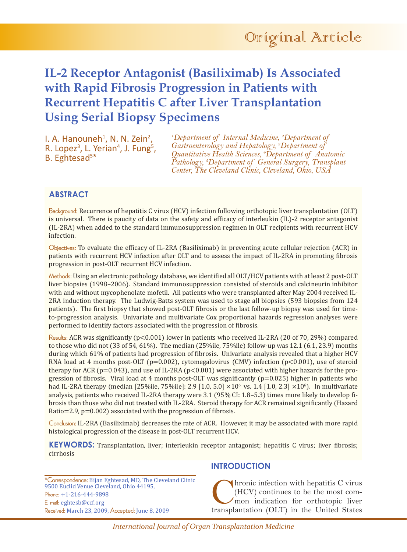# **IL-2 Receptor Antagonist (Basiliximab) Is Associated with Rapid Fibrosis Progression in Patients with Recurrent Hepatitis C after Liver Transplantation Using Serial Biopsy Specimens**

I. A. Hanouneh<sup>1</sup>, N. N. Zein<sup>2</sup> I. A. Hanouneh<sup>1</sup>, N. N. Zein<sup>2</sup>,<br>R. Lopez<sup>3</sup>, L. Yerian<sup>4</sup>, J. Fung<sup>5</sup>,<br>B. Eghtesad<sup>5\*</sup> B. Eghtesad<sup>5\*</sup>

*1 Department of Internal Medicine, 2 Department of Gastroenterology and Hepatology, 3 Department of Quantitative Health Sciences, 4 Department of Anatomic Pathology, 5 Department of General Surgery, Transplant Center, The Cleveland Clinic, Cleveland, Ohio, USA*

# **ABSTRACT**

Background: Recurrence of hepatitis C virus (HCV) infection following orthotopic liver transplantation (OLT) is universal. There is paucity of data on the safety and efficacy of interleukin (IL)-2 receptor antagonist (IL-2RA) when added to the standard immunosuppression regimen in OLT recipients with recurrent HCV infection.

Objectives: To evaluate the efficacy of IL-2RA (Basiliximab) in preventing acute cellular rejection (ACR) in patients with recurrent HCV infection after OLT and to assess the impact of IL-2RA in promoting fibrosis progression in post-OLT recurrent HCV infection.

Methods: Using an electronic pathology database, we identified all OLT/HCV patients with at least 2 post-OLT liver biopsies (1998–2006). Standard immunosuppression consisted of steroids and calcineurin inhibitor with and without mycophenolate mofetil. All patients who were transplanted after May 2004 received IL-2RA induction therapy. The Ludwig-Batts system was used to stage all biopsies (593 biopsies from 124 patients). The first biopsy that showed post-OLT fibrosis or the last follow-up biopsy was used for timeto-progression analysis. Univariate and multivariate Cox proportional hazards regression analyses were performed to identify factors associated with the progression of fibrosis.

Results: ACR was significantly ( $p<0.001$ ) lower in patients who received IL-2RA (20 of 70, 29%) compared to those who did not (33 of 54, 61%). The median (25%ile, 75%ile) follow-up was 12.1 (6.1, 23.9) months during which 61% of patients had progression of fibrosis. Univariate analysis revealed that a higher HCV RNA load at 4 months post-OLT ( $p=0.002$ ), cytomegalovirus (CMV) infection ( $p<0.001$ ), use of steroid therapy for ACR ( $p=0.043$ ), and use of IL-2RA ( $p<0.001$ ) were associated with higher hazards for the progression of fibrosis. Viral load at 4 months post-OLT was significantly  $(p=0.025)$  higher in patients who had IL-2RA therapy (median [25%ile, 75%ile]: 2.9 [1.0, 5.0]  $\times 10^6$  vs. 1.4 [1.0, 2.3]  $\times 10^6$ ). In multivariate analysis, patients who received IL-2RA therapy were 3.1 (95% CI: 1.8–5.3) times more likely to develop fibrosis than those who did not treated with IL-2RA. Steroid therapy for ACR remained significantly (Hazard Ratio=2.9, p=0.002) associated with the progression of fibrosis.

Conclusion: IL-2RA (Basiliximab) decreases the rate of ACR. However, it may be associated with more rapid histological progression of the disease in post-OLT recurrent HCV.

**KEYWORDS:** Transplantation, liver; interleukin receptor antagonist; hepatitis C virus; liver fibrosis; cirrhosis

\*Correspondence: Bijan Eghtesad, MD, The Cleveland Clinic 9500 Euclid Venue Cleveland, Ohio 44195, Phone: +1-216-444-9898 E-mail: eghtesb@ccf.org Received: March 23, 2009, Accepted: June 8, 2009

## **INTRODUCTION**

(hronic infection with hepatitis C virus<br>(HCV) continues to be the most com-<br>mon indication for orthotopic liver<br>transplantation (OLT) in the United States (HCV) continues to be the most common indication for orthotopic liver transplantation (OLT) in the United States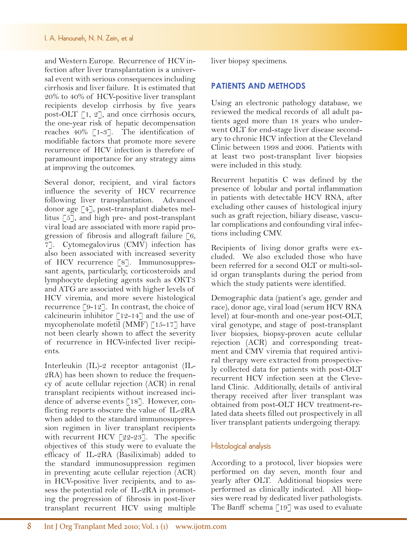#### I. A. Hanouneh, N. N. Zein, et al

and Western Europe. Recurrence of HCVinfection after liver transplantation is a universal event with serious consequences including cirrhosis and liver failure. It is estimated that 20% to 40% of HCV-positive liver transplant recipients develop cirrhosis by five years post-OLT  $\lceil 1, 2 \rceil$ , and once cirrhosis occurs, the one-year risk of hepatic decompensation reaches  $40\%$  [1-3]. The identification of modifiable factors that promote more severe recurrence of HCV infection is therefore of paramount importance for any strategy aims at improving the outcomes.

Several donor, recipient, and viral factors influence the severity of HCV recurrence following liver transplantation. Advanced donor age [4], post-transplant diabetes mellitus [5], and high pre- and post-transplant viral load are associated with more rapid progression of fibrosis and allograft failure  $\lceil 6, \rceil$ 7]. Cytomegalovirus (CMV) infection has also been associated with increased severity of HCV recurrence [8]. Immunosuppressant agents, particularly, corticosteroids and lymphocyte depleting agents such as OKT3 and ATG are associated with higher levels of HCV viremia, and more severe histological recurrence [9-12]. In contrast, the choice of calcineurin inhibitor  $\lceil 12 - 14 \rceil$  and the use of mycophenolate mofetil (MMF) [15-17] have not been clearly shown to affect the severity of recurrence in HCV-infected liver recipients.

Interleukin (IL)-2 receptor antagonist (IL-2RA) has been shown to reduce the frequency of acute cellular rejection (ACR) in renal transplant recipients without increased incidence of adverse events [18]. However, conflicting reports obscure the value of IL-2RA when added to the standard immunosuppression regimen in liver transplant recipients with recurrent HCV [22-23]. The specific objectives of this study were to evaluate the efficacy of IL-2RA (Basiliximab) added to the standard immunosuppression regimen in preventing acute cellular rejection (ACR) in HCV-positive liver recipients, and to assess the potential role of IL-2RA in promoting the progression of fibrosis in post-liver transplant recurrent HCV using multiple liver biopsy specimens.

### **PATIENTS AND METHODS**

Using an electronic pathology database, we reviewed the medical records of all adult patients aged more than 18 years who underwent OLT for end-stage liver disease secondary to chronic HCV infection at the Cleveland Clinic between 1998 and 2006. Patients with at least two post-transplant liver biopsies were included in this study.

Recurrent hepatitis C was defined by the presence of lobular and portal inflammation in patients with detectable HCV RNA, after excluding other causes of histological injury such as graft rejection, biliary disease, vascular complications and confounding viral infections including CMV.

Recipients of living donor grafts were excluded. We also excluded those who have been referred for a second OLT or multi-solid organ transplants during the period from which the study patients were identified.

Demographic data (patient's age, gender and race), donor age, viral load (serum HCV RNA level) at four-month and one-year post-OLT, viral genotype, and stage of post-transplant liver biopsies, biopsy-proven acute cellular rejection (ACR) and corresponding treatment and CMV viremia that required antiviral therapy were extracted from prospectively collected data for patients with post-OLT recurrent HCV infection seen at the Cleveland Clinic. Additionally, details of antiviral therapy received after liver transplant was obtained from post-OLT HCV treatment-related data sheets filled out prospectively in all liver transplant patients undergoing therapy.

#### Histological analysis

According to a protocol, liver biopsies were performed on day seven, month four and yearly after OLT. Additional biopsies were performed as clinically indicated. All biopsies were read by dedicated liver pathologists. The Banff schema [19] was used to evaluate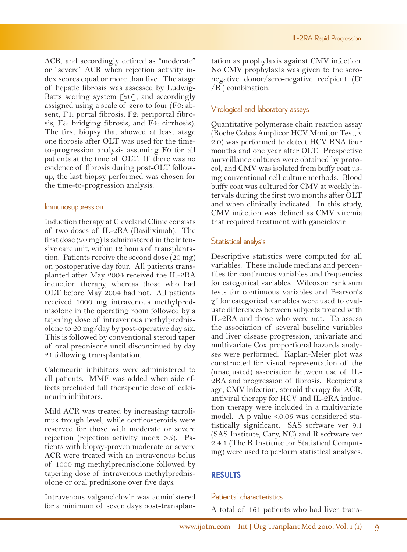ACR, and accordingly defined as "moderate" or "severe" ACR when rejection activity index scores equal or more than five. The stage of hepatic fibrosis was assessed by Ludwig-Batts scoring system  $\lceil 20 \rceil$ , and accordingly assigned using a scale of zero to four (F0: absent, F1: portal fibrosis, F2: periportal fibrosis, F3: bridging fibrosis, and F4: cirrhosis). The first biopsy that showed at least stage one fibrosis after OLT was used for the timeto-progression analysis assuming F0 for all patients at the time of OLT. If there was no evidence of fibrosis during post-OLT followup, the last biopsy performed was chosen for the time-to-progression analysis.

#### Immunosuppression

Induction therapy at Cleveland Clinic consists of two doses of IL-2RA (Basiliximab). The first dose (20 mg) is administered in the intensive care unit, within 12 hours of transplantation. Patients receive the second dose (20 mg) on postoperative day four. All patients transplanted after May 2004 received the IL-2RA induction therapy, whereas those who had OLT before May 2004 had not. All patients received 1000 mg intravenous methylprednisolone in the operating room followed by a tapering dose of intravenous methylprednisolone to 20 mg/day by post-operative day six. This is followed by conventional steroid taper of oral prednisone until discontinued by day 21 following transplantation.

Calcineurin inhibitors were administered to all patients. MMF was added when side effects precluded full therapeutic dose of calcineurin inhibitors.

Mild ACR was treated by increasing tacrolimus trough level, while corticosteroids were reserved for those with moderate or severe rejection (rejection activity index  $\geq 5$ ). Patients with biopsy-proven moderate or severe ACR were treated with an intravenous bolus of 1000 mg methylprednisolone followed by tapering dose of intravenous methylprednisolone or oral prednisone over five days.

Intravenous valganciclovir was administered for a minimum of seven days post-transplan-

tation as prophylaxis against CMV infection. No CMV prophylaxis was given to the seronegative donor/sero-negative recipient (D- /R- ) combination.

# Virological and laboratory assays

Quantitative polymerase chain reaction assay (Roche Cobas Amplicor HCV Monitor Test, v 2.0) was performed to detect HCV RNA four months and one year after OLT. Prospective surveillance cultures were obtained by protocol, and CMV was isolated from buffy coat using conventional cell culture methods. Blood buffy coat was cultured for CMV at weekly intervals during the first two months after OLT and when clinically indicated. In this study, CMV infection was defined as CMV viremia that required treatment with ganciclovir.

# Statistical analysis

Descriptive statistics were computed for all variables. These include medians and percentiles for continuous variables and frequencies for categorical variables. Wilcoxon rank sum tests for continuous variables and Pearson's χ2 for categorical variables were used to evaluate differences between subjects treated with IL-2RA and those who were not. To assess the association of several baseline variables and liver disease progression, univariate and multivariate Cox proportional hazards analyses were performed. Kaplan-Meier plot was constructed for visual representation of the (unadjusted) association between use of IL-2RA and progression of fibrosis. Recipient's age, CMV infection, steroid therapy for ACR, antiviral therapy for HCV and IL-2RA induction therapy were included in a multivariate model. A p value <0.05 was considered statistically significant. SAS software ver 9.1 (SAS Institute, Cary, NC) and R software ver 2.4.1 (The R Institute for Statistical Computing) were used to perform statistical analyses.

# **RESULTS**

## Patients' characteristics

A total of 161 patients who had liver trans-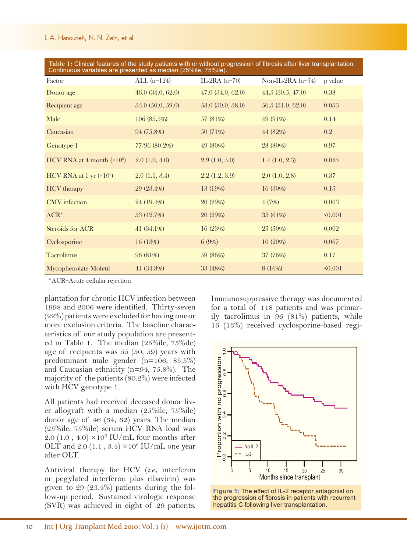| Table 1: Simical ideality of the stag patients with of without progression of horosis after fiver transplantation.<br>Continuous variables are presented as median (25%ile, 75%ile). |                      |                   |                     |              |  |  |  |
|--------------------------------------------------------------------------------------------------------------------------------------------------------------------------------------|----------------------|-------------------|---------------------|--------------|--|--|--|
| Factor                                                                                                                                                                               | ALL $(n=124)$        | IL-2RA $(n=70)$   | Non-IL-2RA $(n=54)$ | p value      |  |  |  |
| Donor age                                                                                                                                                                            | 46.0 (34.0, 62.0)    | 47.0(34.0, 62.0)  | 44.5(30.5, 47.0)    | 0.38         |  |  |  |
| Recipient age                                                                                                                                                                        | $55.0\ (50.0, 59.0)$ | 53.0 (50.0, 58.0) | 56.5 (51.0, 62.0)   | 0.053        |  |  |  |
| Male                                                                                                                                                                                 | 106(85.5%)           | 57 (81\%)         | 49 (91%)            | 0.14         |  |  |  |
| Caucasian                                                                                                                                                                            | 94 (75.8%)           | 50(71%)           | 44 (82%)            | 0.2          |  |  |  |
| Genotype 1                                                                                                                                                                           | 77/96 (80.2%)        | 49 (80%)          | 28 (80%)            | 0.97         |  |  |  |
| HCV RNA at 4 month $(\times 10^6)$                                                                                                                                                   | 2.0(1.0, 4.0)        | 2.9(1.0, 5.0)     | 1.4(1.0, 2.3)       | 0.025        |  |  |  |
| HCV RNA at 1 yr $(\times 10^6)$                                                                                                                                                      | 2.0(1.1, 3.4)        | 2.2(1.2, 3.9)     | 2.0(1.0, 2.8)       | 0.37         |  |  |  |
| <b>HCV</b> therapy                                                                                                                                                                   | 29 (23.4%)           | 13 (19%)          | $16(30\%)$          | 0.15         |  |  |  |
| <b>CMV</b> infection                                                                                                                                                                 | 24 (19.4%)           | 20 (29%)          | 4(7%)               | 0.003        |  |  |  |
| $ACR^*$                                                                                                                                                                              | 53 (42.7%)           | 20 (29%)          | 33 (61%)            | $\leq 0.001$ |  |  |  |
| Steroids for ACR                                                                                                                                                                     | 41 $(34.1\%)$        | 16 (23%)          | $25(50\%)$          | 0.002        |  |  |  |
| Cyclosporine                                                                                                                                                                         | 16(13%)              | 6(9%)             | $10(20\%)$          | 0.067        |  |  |  |
| <b>Tacrolimus</b>                                                                                                                                                                    | 96 (81%)             | 59 (86%)          | 37 (76%)            | 0.17         |  |  |  |
| Mycophenolate Mofetil                                                                                                                                                                | 41 (34.8%)           | 33 (48%)          | 8(16%)              | $\leq 0.001$ |  |  |  |

**Table 1:** Clinical features of the study patients with or without progression of fibrosis after liver transplantation.

\*ACR=Acute cellular rejection

plantation for chronic HCV infection between 1998 and 2006 were identified. Thirty-seven (22%) patients were excluded for having one or more exclusion criteria. The baseline characteristics of our study population are presented in Table 1. The median (25%ile, 75%ile) age of recipients was 55 (50, 59) years with predominant male gender (n=106, 85.5%) and Caucasian ethnicity (n=94, 75.8%). The majority of the patients (80.2%) were infected with HCV genotype 1.

All patients had received deceased donor liver allograft with a median (25%ile, 75%ile) donor age of 46 (34, 62) years. The median (25%ile, 75%ile) serum HCV RNA load was 2.0 (1.0, 4.0)  $\times 10^6$  IU/mL four months after OLT and  $2.0$  (1.1,  $3.4$ )  $\times 10^6$  IU/mL one year after OLT.

Antiviral therapy for HCV (*i.e.*, interferon or pegylated interferon plus ribavirin) was given to 29 (23.4%) patients during the follow-up period. Sustained virologic response (SVR) was achieved in eight of 29 patients.

Immunosuppressive therapy was documented for a total of 118 patients and was primarily tacrolimus in 96 (81%) patients, while 16 (13%) received cyclosporine-based regi-



**Figure 1:** The effect of IL-2 receptor antagonist on the progression of fibrosis in patients with recurrent hepatitis C following liver transplantation.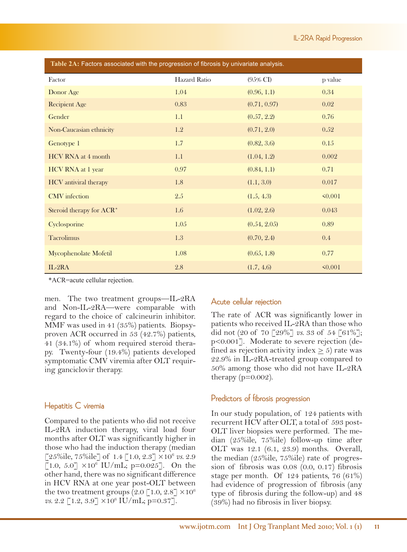| Table 2A: Factors associated with the progression of fibrosis by univariate analysis. |              |                     |              |  |  |  |
|---------------------------------------------------------------------------------------|--------------|---------------------|--------------|--|--|--|
| Factor                                                                                | Hazard Ratio | $(95\% \text{ CI})$ | p value      |  |  |  |
| Donor Age                                                                             | 1.04         | (0.96, 1.1)         | 0.34         |  |  |  |
| <b>Recipient Age</b>                                                                  | 0.83         | (0.71, 0.97)        | 0.02         |  |  |  |
| Gender                                                                                | 1.1          | (0.57, 2.2)         | 0.76         |  |  |  |
| Non-Caucasian ethnicity                                                               | 1.2          | (0.71, 2.0)         | 0.52         |  |  |  |
| Genotype 1                                                                            | 1.7          | (0.82, 3.6)         | 0.15         |  |  |  |
| HCV RNA at 4 month                                                                    | 1.1          | (1.04, 1.2)         | 0.002        |  |  |  |
| HCV RNA at 1 year                                                                     | 0.97         | (0.84, 1.1)         | 0.71         |  |  |  |
| <b>HCV</b> antiviral therapy                                                          | 1.8          | (1.1, 3.0)          | 0.017        |  |  |  |
| <b>CMV</b> infection                                                                  | 2.5          | (1.5, 4.3)          | $\leq 0.001$ |  |  |  |
| Steroid therapy for ACR*                                                              | 1.6          | (1.02, 2.6)         | 0.043        |  |  |  |
| Cyclosporine                                                                          | 1.05         | (0.54, 2.05)        | 0.89         |  |  |  |
| <b>Tacrolimus</b>                                                                     | 1.3          | (0.70, 2.4)         | 0.4          |  |  |  |
| Mycophenolate Mofetil                                                                 | 1.08         | (0.65, 1.8)         | 0.77         |  |  |  |
| $IL-2RA$                                                                              | 2.8          | (1.7, 4.6)          | $\leq 0.001$ |  |  |  |

\*ACR=acute cellular rejection.

men. The two treatment groups—IL-2RA and Non-IL-2RA—were comparable with regard to the choice of calcineurin inhibitor. MMF was used in 41 (35%) patients. Biopsyproven ACR occurred in 53 (42.7%) patients, 41 (34.1%) of whom required steroid therapy. Twenty-four (19.4%) patients developed symptomatic CMV viremia after OLT requiring ganciclovir therapy.

## Hepatitis C viremia

Compared to the patients who did not receive IL-2RA induction therapy, viral load four months after OLT was significantly higher in those who had the induction therapy (median [25%ile, 75%ile] of 1.4 [1.0, 2.3] ×106 *vs.* 2.9  $[1.0, 5.0] \times 10^6$  IU/mL; p=0.025]. On the other hand, there was no significant difference in HCV RNA at one year post-OLT between the two treatment groups  $(2.0 \, \lceil 1.0, 2.8 \rceil \times 10^6)$  $vs. 2.2$  [1.2, 3.9]  $\times 10^6$  IU/mL; p=0.37].

### Acute cellular rejection

The rate of ACR was significantly lower in patients who received IL-2RA than those who did not (20 of 70 [29%] *vs.* 33 of 54 [61%]; p<0.001]. Moderate to severe rejection (defined as rejection activity index  $\geq$  5) rate was 22.9% in IL-2RA-treated group compared to 50% among those who did not have IL-2RA therapy  $(p=0.002)$ .

### Predictors of fibrosis progression

In our study population, of 124 patients with recurrent HCV after OLT, a total of 593 post-OLT liver biopsies were performed. The median (25%ile, 75%ile) follow-up time after OLT was 12.1 (6.1, 23.9) months. Overall, the median (25%ile, 75%ile) rate of progression of fibrosis was 0.08 (0.0, 0.17) fibrosis stage per month. Of 124 patients, 76 (61%) had evidence of progression of fibrosis (any type of fibrosis during the follow-up) and 48 (39%) had no fibrosis in liver biopsy.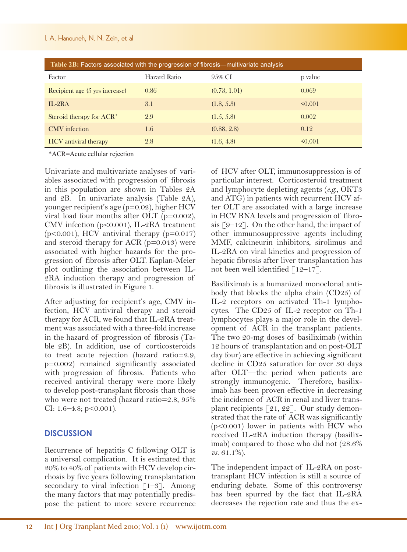#### I. A. Hanouneh, N. N. Zein, et al

| Table 2B: Factors associated with the progression of fibrosis—multivariate analysis |              |              |              |  |  |  |
|-------------------------------------------------------------------------------------|--------------|--------------|--------------|--|--|--|
| Factor                                                                              | Hazard Ratio | 9.5% CI      | p value      |  |  |  |
| Recipient age (5 yrs increase)                                                      | 0.86         | (0.73, 1.01) | 0.069        |  |  |  |
| $IL-2RA$                                                                            | 3.1          | (1.8, 5.3)   | $\leq 0.001$ |  |  |  |
| Steroid therapy for ACR <sup>*</sup>                                                | 2.9          | (1.5, 5.8)   | 0.002        |  |  |  |
| <b>CMV</b> infection                                                                | 1.6          | (0.88, 2.8)  | 0.12         |  |  |  |
| <b>HCV</b> antiviral therapy                                                        | 2.8          | (1.6, 4.8)   | $\leq 0.001$ |  |  |  |

\*ACR=Acute cellular rejection

Univariate and multivariate analyses of variables associated with progression of fibrosis in this population are shown in Tables 2A and 2B. In univariate analysis (Table 2A), younger recipient's age (p=0.02), higher HCV viral load four months after OLT (p=0.002), CMV infection (p<0.001), IL-2RA treatment  $(p<0.001)$ , HCV antiviral therapy  $(p=0.017)$ and steroid therapy for ACR  $(p=0.043)$  were associated with higher hazards for the progression of fibrosis after OLT. Kaplan-Meier plot outlining the association between IL-2RA induction therapy and progression of fibrosis is illustrated in Figure 1.

After adjusting for recipient's age, CMV infection, HCV antiviral therapy and steroid therapy for ACR, we found that IL-2RA treatment was associated with a three-fold increase in the hazard of progression of fibrosis (Table 2B). In addition, use of corticosteroids to treat acute rejection (hazard ratio=2.9, p=0.002) remained significantly associated with progression of fibrosis. Patients who received antiviral therapy were more likely to develop post-transplant fibrosis than those who were not treated (hazard ratio=2.8, 95% CI: 1.6–4.8; p<0.001).

### **DISCUSSION**

Recurrence of hepatitis C following OLT is a universal complication. It is estimated that 20% to 40% of patients with HCV develop cirrhosis by five years following transplantation secondary to viral infection  $\lceil 1-3 \rceil$ . Among the many factors that may potentially predispose the patient to more severe recurrence of HCV after OLT, immunosuppression is of particular interest. Corticosteroid treatment and lymphocyte depleting agents (*e.g.*, OKT3 and ATG) in patients with recurrent HCV after OLT are associated with a large increase in HCV RNA levels and progression of fibrosis  $\lceil 9-12 \rceil$ . On the other hand, the impact of other immunosuppressive agents including MMF, calcineurin inhibitors, sirolimus and IL-2RA on viral kinetics and progression of hepatic fibrosis after liver transplantation has not been well identified  $\lceil 12-17 \rceil$ .

Basiliximab is a humanized monoclonal antibody that blocks the alpha chain (CD25) of IL-2 receptors on activated Th-1 lymphocytes. The CD25 of IL-2 receptor on Th-1 lymphocytes plays a major role in the development of ACR in the transplant patients. The two 20-mg doses of basiliximab (within 12 hours of transplantation and on post-OLT day four) are effective in achieving significant decline in CD25 saturation for over 30 days after OLT—the period when patients are strongly immunogenic. Therefore, basiliximab has been proven effective in decreasing the incidence of ACR in renal and liver transplant recipients [21, 22]. Our study demonstrated that the rate of ACR was significantly (p<0.001) lower in patients with HCV who received IL-2RA induction therapy (basiliximab) compared to those who did not (28.6% *vs*. 61.1%).

The independent impact of IL-2RA on posttransplant HCV infection is still a source of enduring debate. Some of this controversy has been spurred by the fact that IL-2RA decreases the rejection rate and thus the ex-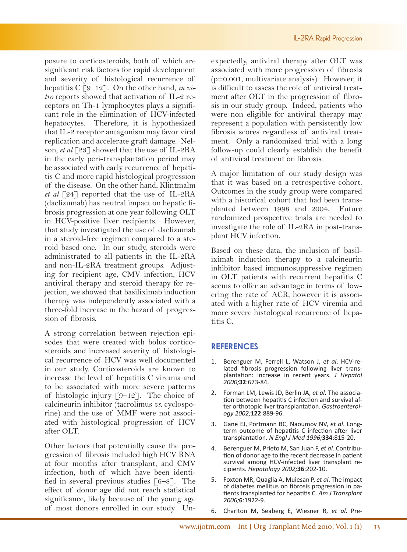posure to corticosteroids, both of which are significant risk factors for rapid development and severity of histological recurrence of hepatitis C [9–12]. On the other hand, *in vitro* reports showed that activation of IL-2 receptors on Th-1 lymphocytes plays a significant role in the elimination of HCV-infected hepatocytes. Therefore, it is hypothesized that IL-2 receptor antagonism may favor viral replication and accelerate graft damage. Nelson, *et al* [23] showed that the use of IL-2RA in the early peri-transplantation period may be associated with early recurrence of hepatitis C and more rapid histological progression of the disease. On the other hand, Klintmalm *et al* [24] reported that the use of IL-2RA (daclizumab) has neutral impact on hepatic fibrosis progression at one year following OLT in HCV-positive liver recipients. However, that study investigated the use of daclizumab in a steroid-free regimen compared to a steroid based one. In our study, steroids were administrated to all patients in the IL-2RA and non-IL-2RA treatment groups. Adjusting for recipient age, CMV infection, HCV antiviral therapy and steroid therapy for rejection, we showed that basiliximab induction therapy was independently associated with a three-fold increase in the hazard of progression of fibrosis.

A strong correlation between rejection episodes that were treated with bolus corticosteroids and increased severity of histological recurrence of HCV was well documented in our study. Corticosteroids are known to increase the level of hepatitis C viremia and to be associated with more severe patterns of histologic injury  $\lceil 9-12 \rceil$ . The choice of calcineurin inhibitor (tacrolimus *vs*. cyclosporine) and the use of MMF were not associated with histological progression of HCV after OLT.

Other factors that potentially cause the progression of fibrosis included high HCV RNA at four months after transplant, and CMV infection, both of which have been identified in several previous studies  $\lceil 6-8 \rceil$ . The effect of donor age did not reach statistical significance, likely because of the young age of most donors enrolled in our study. Unexpectedly, antiviral therapy after OLT was associated with more progression of fibrosis (p=0.001, multivariate analysis). However, it is difficult to assess the role of antiviral treatment after OLT in the progression of fibrosis in our study group. Indeed, patients who were non eligible for antiviral therapy may represent a population with persistently low fibrosis scores regardless of antiviral treatment. Only a randomized trial with a long follow-up could clearly establish the benefit of antiviral treatment on fibrosis.

A major limitation of our study design was that it was based on a retrospective cohort. Outcomes in the study group were compared with a historical cohort that had been transplanted between 1998 and 2004. Future randomized prospective trials are needed to investigate the role of IL-2RA in post-transplant HCV infection.

Based on these data, the inclusion of basiliximab induction therapy to a calcineurin inhibitor based immunosuppressive regimen in OLT patients with recurrent hepatitis C seems to offer an advantage in terms of lowering the rate of ACR, however it is associated with a higher rate of HCV viremia and more severe histological recurrence of hepatitis C.

# **REFERENCES**

- 1. Berenguer M, Ferrell L, Watson J, *et al*. HCV-related fibrosis progression following liver trans- plantation: increase in recent years. *J Hepatol 2000;***32**:673-84.
- 2. Forman LM, Lewis JD, Berlin JA, *et al*. The association between hepatitis C infection and survival after orthotopic liver transplantation. *Gastroenterology 2002;***122**:889-96.
- 3. Gane EJ, Portmann BC, Naoumov NV, *et al*. Longterm outcome of hepatitis C infection after liver transplantation. *N Engl J Med 1996;***334**:815-20.
- 4. Berenguer M, Prieto M, San Juan F, *et al*. Contribution of donor age to the recent decrease in patient survival among HCV-infected liver transplant recipients. *Hepatology 2002;***36**:202-10.
- 5. Foxton MR, Quaglia A, Muiesan P, *et al*. The impact of diabetes mellitus on fibrosis progression in patients transplanted for hepatitis C. *Am J Transplant 2006;***6**:1922-9.
- 6. Charlton M, Seaberg E, Wiesner R, *et al*. Pre-